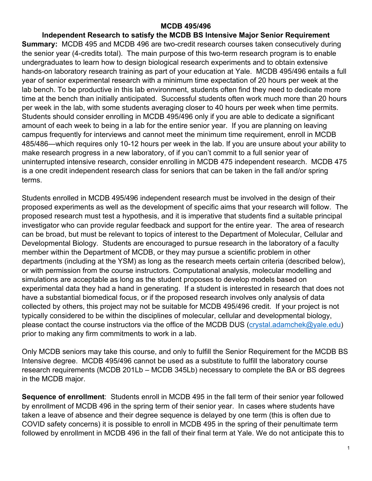#### **MCDB 495/496**

**Independent Research to satisfy the MCDB BS Intensive Major Senior Requirement Summary:** MCDB 495 and MCDB 496 are two-credit research courses taken consecutively during the senior year (4-credits total). The main purpose of this two-term research program is to enable undergraduates to learn how to design biological research experiments and to obtain extensive hands-on laboratory research training as part of your education at Yale. MCDB 495/496 entails a full year of senior experimental research with a minimum time expectation of 20 hours per week at the lab bench. To be productive in this lab environment, students often find they need to dedicate more time at the bench than initially anticipated. Successful students often work much more than 20 hours per week in the lab, with some students averaging closer to 40 hours per week when time permits. Students should consider enrolling in MCDB 495/496 only if you are able to dedicate a significant amount of each week to being in a lab for the entire senior year. If you are planning on leaving campus frequently for interviews and cannot meet the minimum time requirement, enroll in MCDB 485/486—which requires only 10-12 hours per week in the lab. If you are unsure about your ability to make research progress in a new laboratory, of if you can't commit to a full senior year of uninterrupted intensive research, consider enrolling in MCDB 475 independent research. MCDB 475 is a one credit independent research class for seniors that can be taken in the fall and/or spring terms.

Students enrolled in MCDB 495/496 independent research must be involved in the design of their proposed experiments as well as the development of specific aims that your research will follow. The proposed research must test a hypothesis, and it is imperative that students find a suitable principal investigator who can provide regular feedback and support for the entire year. The area of research can be broad, but must be relevant to topics of interest to the Department of Molecular, Cellular and Developmental Biology. Students are encouraged to pursue research in the laboratory of a faculty member within the Department of MCDB, or they may pursue a scientific problem in other departments (including at the YSM) as long as the research meets certain criteria (described below), or with permission from the course instructors. Computational analysis, molecular modelling and simulations are acceptable as long as the student proposes to develop models based on experimental data they had a hand in generating. If a student is interested in research that does not have a substantial biomedical focus, or if the proposed research involves only analysis of data collected by others, this project may not be suitable for MCDB 495/496 credit. If your project is not typically considered to be within the disciplines of molecular, cellular and developmental biology, please contact the course instructors via the office of the MCDB DUS [\(crystal.adamchek@yale.edu\)](mailto:crystal.adamchek@yale.edu) prior to making any firm commitments to work in a lab.

Only MCDB seniors may take this course, and only to fulfill the Senior Requirement for the MCDB BS Intensive degree. MCDB 495/496 cannot be used as a substitute to fulfill the laboratory course research requirements (MCDB 201Lb – MCDB 345Lb) necessary to complete the BA or BS degrees in the MCDB major.

**Sequence of enrollment**: Students enroll in MCDB 495 in the fall term of their senior year followed by enrollment of MCDB 496 in the spring term of their senior year. In cases where students have taken a leave of absence and their degree sequence is delayed by one term (this is often due to COVID safety concerns) it is possible to enroll in MCDB 495 in the spring of their penultimate term followed by enrollment in MCDB 496 in the fall of their final term at Yale. We do not anticipate this to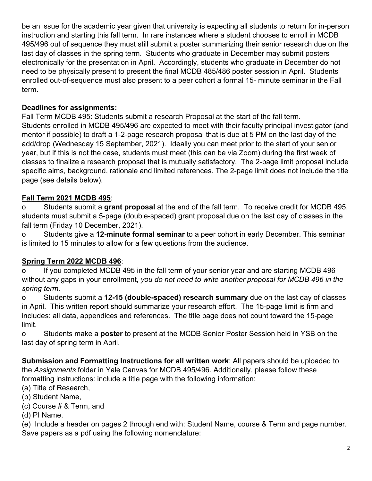be an issue for the academic year given that university is expecting all students to return for in-person instruction and starting this fall term. In rare instances where a student chooses to enroll in MCDB 495/496 out of sequence they must still submit a poster summarizing their senior research due on the last day of classes in the spring term. Students who graduate in December may submit posters electronically for the presentation in April. Accordingly, students who graduate in December do not need to be physically present to present the final MCDB 485/486 poster session in April. Students enrolled out-of-sequence must also present to a peer cohort a formal 15- minute seminar in the Fall term.

## **Deadlines for assignments:**

Fall Term MCDB 495: Students submit a research Proposal at the start of the fall term. Students enrolled in MCDB 495/496 are expected to meet with their faculty principal investigator (and mentor if possible) to draft a 1-2-page research proposal that is due at 5 PM on the last day of the add/drop (Wednesday 15 September, 2021). Ideally you can meet prior to the start of your senior year, but if this is not the case, students must meet (this can be via Zoom) during the first week of classes to finalize a research proposal that is mutually satisfactory. The 2-page limit proposal include specific aims, background, rationale and limited references. The 2-page limit does not include the title page (see details below).

## **Fall Term 2021 MCDB 495**:

o Students submit a **grant proposal** at the end of the fall term. To receive credit for MCDB 495, students must submit a 5-page (double-spaced) grant proposal due on the last day of classes in the fall term (Friday 10 December, 2021).

o Students give a **12-minute formal seminar** to a peer cohort in early December. This seminar is limited to 15 minutes to allow for a few questions from the audience.

## **Spring Term 2022 MCDB 496**:

o If you completed MCDB 495 in the fall term of your senior year and are starting MCDB 496 without any gaps in your enrollment, *you do not need to write another proposal for MCDB 496 in the spring term.*

o Students submit a **12-15 (double-spaced) research summary** due on the last day of classes in April. This written report should summarize your research effort. The 15-page limit is firm and includes: all data, appendices and references. The title page does not count toward the 15-page limit.

o Students make a **poster** to present at the MCDB Senior Poster Session held in YSB on the last day of spring term in April.

**Submission and Formatting Instructions for all written work**: All papers should be uploaded to the *Assignments* folder in Yale Canvas for MCDB 495/496. Additionally, please follow these formatting instructions: include a title page with the following information:

(a) Title of Research,

- (b) Student Name,
- (c) Course # & Term, and
- (d) PI Name.

(e) Include a header on pages 2 through end with: Student Name, course & Term and page number. Save papers as a pdf using the following nomenclature: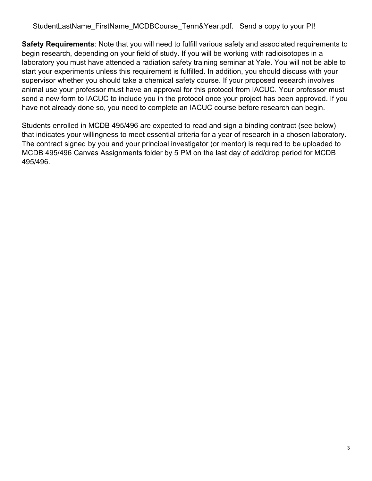StudentLastName FirstName MCDBCourse Term&Year.pdf. Send a copy to your PI!

**Safety Requirements**: Note that you will need to fulfill various safety and associated requirements to begin research, depending on your field of study. If you will be working with radioisotopes in a laboratory you must have attended a radiation safety training seminar at Yale. You will not be able to start your experiments unless this requirement is fulfilled. In addition, you should discuss with your supervisor whether you should take a chemical safety course. If your proposed research involves animal use your professor must have an approval for this protocol from IACUC. Your professor must send a new form to IACUC to include you in the protocol once your project has been approved. If you have not already done so, you need to complete an IACUC course before research can begin.

Students enrolled in MCDB 495/496 are expected to read and sign a binding contract (see below) that indicates your willingness to meet essential criteria for a year of research in a chosen laboratory. The contract signed by you and your principal investigator (or mentor) is required to be uploaded to MCDB 495/496 Canvas Assignments folder by 5 PM on the last day of add/drop period for MCDB 495/496.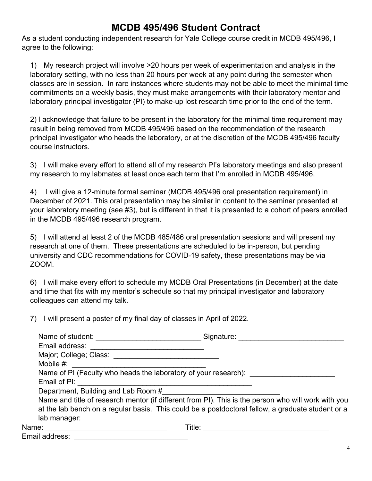## **MCDB 495/496 Student Contract**

As a student conducting independent research for Yale College course credit in MCDB 495/496, I agree to the following:

1) My research project will involve >20 hours per week of experimentation and analysis in the laboratory setting, with no less than 20 hours per week at any point during the semester when classes are in session. In rare instances where students may not be able to meet the minimal time commitments on a weekly basis, they must make arrangements with their laboratory mentor and laboratory principal investigator (PI) to make-up lost research time prior to the end of the term.

2) I acknowledge that failure to be present in the laboratory for the minimal time requirement may result in being removed from MCDB 495/496 based on the recommendation of the research principal investigator who heads the laboratory, or at the discretion of the MCDB 495/496 faculty course instructors.

3) I will make every effort to attend all of my research PI's laboratory meetings and also present my research to my labmates at least once each term that I'm enrolled in MCDB 495/496.

4) I will give a 12-minute formal seminar (MCDB 495/496 oral presentation requirement) in December of 2021. This oral presentation may be similar in content to the seminar presented at your laboratory meeting (see #3), but is different in that it is presented to a cohort of peers enrolled in the MCDB 495/496 research program.

5) I will attend at least 2 of the MCDB 485/486 oral presentation sessions and will present my research at one of them. These presentations are scheduled to be in-person, but pending university and CDC recommendations for COVID-19 safety, these presentations may be via ZOOM.

6) I will make every effort to schedule my MCDB Oral Presentations (in December) at the date and time that fits with my mentor's schedule so that my principal investigator and laboratory colleagues can attend my talk.

7) I will present a poster of my final day of classes in April of 2022.

| Name of student:                                                | Signature:                                                                                          |
|-----------------------------------------------------------------|-----------------------------------------------------------------------------------------------------|
| Email address:                                                  |                                                                                                     |
| Major; College; Class:                                          |                                                                                                     |
| Mobile $#$ :                                                    |                                                                                                     |
| Name of PI (Faculty who heads the laboratory of your research): |                                                                                                     |
| Email of PI:                                                    |                                                                                                     |
| Department, Building and Lab Room #                             |                                                                                                     |
|                                                                 | Name and title of research mentor (if different from PI). This is the person who will work with you |
|                                                                 | at the lab bench on a regular basis. This could be a postdoctoral fellow, a graduate student or a   |
| lab manager:                                                    |                                                                                                     |
| Name:                                                           | Title:                                                                                              |

Email address: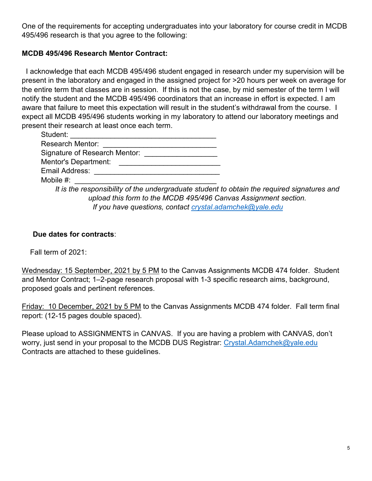One of the requirements for accepting undergraduates into your laboratory for course credit in MCDB 495/496 research is that you agree to the following:

### **MCDB 495/496 Research Mentor Contract:**

 I acknowledge that each MCDB 495/496 student engaged in research under my supervision will be present in the laboratory and engaged in the assigned project for >20 hours per week on average for the entire term that classes are in session. If this is not the case, by mid semester of the term I will notify the student and the MCDB 495/496 coordinators that an increase in effort is expected. I am aware that failure to meet this expectation will result in the student's withdrawal from the course. I expect all MCDB 495/496 students working in my laboratory to attend our laboratory meetings and present their research at least once each term.

| Student:                                                                                    |  |
|---------------------------------------------------------------------------------------------|--|
| <b>Research Mentor:</b>                                                                     |  |
| Signature of Research Mentor:                                                               |  |
| Mentor's Department:                                                                        |  |
| Email Address:                                                                              |  |
| Mobile $#$ :                                                                                |  |
| It is the responsibility of the undergraduate student to obtain the required signatures and |  |
| upload this form to the MCDR 495/496 Canvas Assignment section                              |  |

*upload this form to the MCDB 495/496 Canvas Assignment section. If you have questions, contact crystal.adamchek@yale.edu* 

### **Due dates for contracts**:

Fall term of 2021:

Wednesday: 15 September, 2021 by 5 PM to the Canvas Assignments MCDB 474 folder. Student and Mentor Contract; 1–2-page research proposal with 1-3 specific research aims, background, proposed goals and pertinent references.

Friday: 10 December, 2021 by 5 PM to the Canvas Assignments MCDB 474 folder. Fall term final report: (12-15 pages double spaced).

Please upload to ASSIGNMENTS in CANVAS. If you are having a problem with CANVAS, don't worry, just send in your proposal to the MCDB DUS Registrar: Crystal.Adamchek@yale.edu Contracts are attached to these guidelines.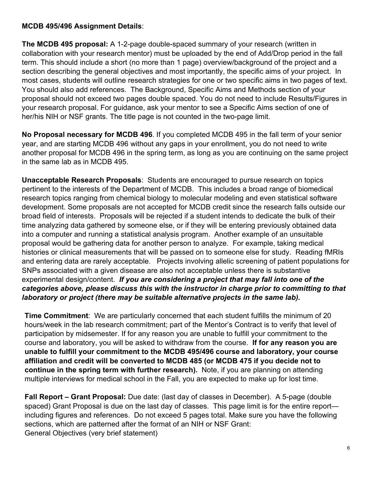### **MCDB 495/496 Assignment Details**:

**The MCDB 495 proposal:** A 1-2-page double-spaced summary of your research (written in collaboration with your research mentor) must be uploaded by the end of Add/Drop period in the fall term. This should include a short (no more than 1 page) overview/background of the project and a section describing the general objectives and most importantly, the specific aims of your project. In most cases, students will outline research strategies for one or two specific aims in two pages of text. You should also add references. The Background, Specific Aims and Methods section of your proposal should not exceed two pages double spaced. You do not need to include Results/Figures in your research proposal. For guidance, ask your mentor to see a Specific Aims section of one of her/his NIH or NSF grants. The title page is not counted in the two-page limit.

**No Proposal necessary for MCDB 496**. If you completed MCDB 495 in the fall term of your senior year, and are starting MCDB 496 without any gaps in your enrollment, you do not need to write another proposal for MCDB 496 in the spring term, as long as you are continuing on the same project in the same lab as in MCDB 495.

**Unacceptable Research Proposals**: Students are encouraged to pursue research on topics pertinent to the interests of the Department of MCDB. This includes a broad range of biomedical research topics ranging from chemical biology to molecular modeling and even statistical software development. Some proposals are not accepted for MCDB credit since the research falls outside our broad field of interests. Proposals will be rejected if a student intends to dedicate the bulk of their time analyzing data gathered by someone else, or if they will be entering previously obtained data into a computer and running a statistical analysis program. Another example of an unsuitable proposal would be gathering data for another person to analyze. For example, taking medical histories or clinical measurements that will be passed on to someone else for study. Reading fMRIs and entering data are rarely acceptable. Projects involving allelic screening of patient populations for SNPs associated with a given disease are also not acceptable unless there is substantive experimental design/content. *If you are considering a project that may fall into one of the categories above, please discuss this with the instructor in charge prior to committing to that laboratory or project (there may be suitable alternative projects in the same lab).* 

**Time Commitment**: We are particularly concerned that each student fulfills the minimum of 20 hours/week in the lab research commitment; part of the Mentor's Contract is to verify that level of participation by midsemester. If for any reason you are unable to fulfill your commitment to the course and laboratory, you will be asked to withdraw from the course. **If for any reason you are unable to fulfill your commitment to the MCDB 495/496 course and laboratory, your course affiliation and credit will be converted to MCDB 485 (or MCDB 475 if you decide not to continue in the spring term with further research).** Note, if you are planning on attending multiple interviews for medical school in the Fall, you are expected to make up for lost time.

**Fall Report – Grant Proposal:** Due date: (last day of classes in December). A 5-page (double spaced) Grant Proposal is due on the last day of classes. This page limit is for the entire reportincluding figures and references. Do not exceed 5 pages total. Make sure you have the following sections, which are patterned after the format of an NIH or NSF Grant: General Objectives (very brief statement)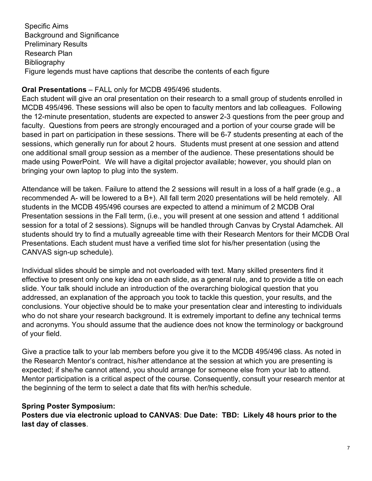Specific Aims Background and Significance Preliminary Results Research Plan **Bibliography** Figure legends must have captions that describe the contents of each figure

### **Oral Presentations** – FALL only for MCDB 495/496 students.

Each student will give an oral presentation on their research to a small group of students enrolled in MCDB 495/496. These sessions will also be open to faculty mentors and lab colleagues. Following the 12-minute presentation, students are expected to answer 2-3 questions from the peer group and faculty. Questions from peers are strongly encouraged and a portion of your course grade will be based in part on participation in these sessions. There will be 6-7 students presenting at each of the sessions, which generally run for about 2 hours. Students must present at one session and attend one additional small group session as a member of the audience. These presentations should be made using PowerPoint. We will have a digital projector available; however, you should plan on bringing your own laptop to plug into the system.

Attendance will be taken. Failure to attend the 2 sessions will result in a loss of a half grade (e.g., a recommended A- will be lowered to a B+). All fall term 2020 presentations will be held remotely. All students in the MCDB 495/496 courses are expected to attend a minimum of 2 MCDB Oral Presentation sessions in the Fall term, (i.e., you will present at one session and attend 1 additional session for a total of 2 sessions). Signups will be handled through Canvas by Crystal Adamchek. All students should try to find a mutually agreeable time with their Research Mentors for their MCDB Oral Presentations. Each student must have a verified time slot for his/her presentation (using the CANVAS sign-up schedule).

Individual slides should be simple and not overloaded with text. Many skilled presenters find it effective to present only one key idea on each slide, as a general rule, and to provide a title on each slide. Your talk should include an introduction of the overarching biological question that you addressed, an explanation of the approach you took to tackle this question, your results, and the conclusions. Your objective should be to make your presentation clear and interesting to individuals who do not share your research background. It is extremely important to define any technical terms and acronyms. You should assume that the audience does not know the terminology or background of your field.

Give a practice talk to your lab members before you give it to the MCDB 495/496 class. As noted in the Research Mentor's contract, his/her attendance at the session at which you are presenting is expected; if she/he cannot attend, you should arrange for someone else from your lab to attend. Mentor participation is a critical aspect of the course. Consequently, consult your research mentor at the beginning of the term to select a date that fits with her/his schedule.

## **Spring Poster Symposium:**

**Posters due via electronic upload to CANVAS**: **Due Date: TBD: Likely 48 hours prior to the last day of classes**.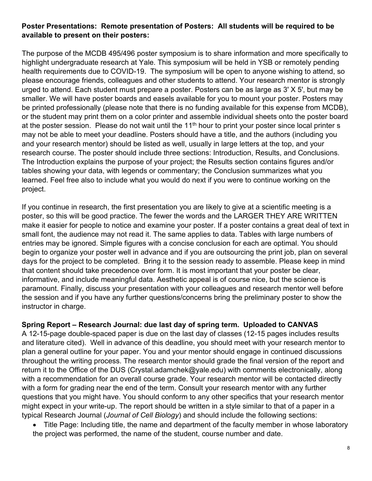### **Poster Presentations: Remote presentation of Posters: All students will be required to be available to present on their posters:**

The purpose of the MCDB 495/496 poster symposium is to share information and more specifically to highlight undergraduate research at Yale. This symposium will be held in YSB or remotely pending health requirements due to COVID-19. The symposium will be open to anyone wishing to attend, so please encourage friends, colleagues and other students to attend. Your research mentor is strongly urged to attend. Each student must prepare a poster. Posters can be as large as 3' X 5', but may be smaller. We will have poster boards and easels available for you to mount your poster. Posters may be printed professionally (please note that there is no funding available for this expense from MCDB), or the student may print them on a color printer and assemble individual sheets onto the poster board at the poster session. Please do not wait until the  $11<sup>th</sup>$  hour to print your poster since local printer s may not be able to meet your deadline. Posters should have a title, and the authors (including you and your research mentor) should be listed as well, usually in large letters at the top, and your research course. The poster should include three sections: Introduction, Results, and Conclusions. The Introduction explains the purpose of your project; the Results section contains figures and/or tables showing your data, with legends or commentary; the Conclusion summarizes what you learned. Feel free also to include what you would do next if you were to continue working on the project.

If you continue in research, the first presentation you are likely to give at a scientific meeting is a poster, so this will be good practice. The fewer the words and the LARGER THEY ARE WRITTEN make it easier for people to notice and examine your poster. If a poster contains a great deal of text in small font, the audience may not read it. The same applies to data. Tables with large numbers of entries may be ignored. Simple figures with a concise conclusion for each are optimal. You should begin to organize your poster well in advance and if you are outsourcing the print job, plan on several days for the project to be completed. Bring it to the session ready to assemble. Please keep in mind that content should take precedence over form. It is most important that your poster be clear, informative, and include meaningful data. Aesthetic appeal is of course nice, but the science is paramount. Finally, discuss your presentation with your colleagues and research mentor well before the session and if you have any further questions/concerns bring the preliminary poster to show the instructor in charge.

### **Spring Report – Research Journal: due last day of spring term. Uploaded to CANVAS**

A 12-15-page double-spaced paper is due on the last day of classes (12-15 pages includes results and literature cited). Well in advance of this deadline, you should meet with your research mentor to plan a general outline for your paper. You and your mentor should engage in continued discussions throughout the writing process. The research mentor should grade the final version of the report and return it to the Office of the DUS (Crystal.adamchek@yale.edu) with comments electronically, along with a recommendation for an overall course grade. Your research mentor will be contacted directly with a form for grading near the end of the term. Consult your research mentor with any further questions that you might have. You should conform to any other specifics that your research mentor might expect in your write-up. The report should be written in a style similar to that of a paper in a typical Research Journal (*Journal of Cell Biology*) and should include the following sections:

• Title Page: Including title, the name and department of the faculty member in whose laboratory the project was performed, the name of the student, course number and date.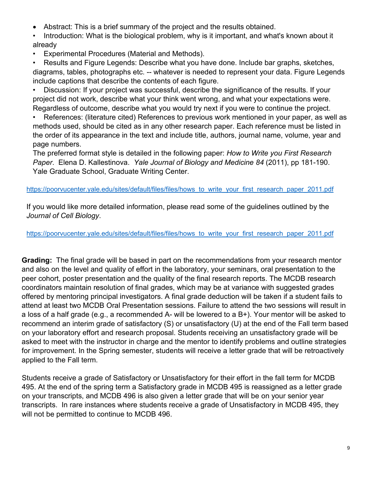- Abstract: This is a brief summary of the project and the results obtained.
- Introduction: What is the biological problem, why is it important, and what's known about it already
- Experimental Procedures (Material and Methods).

• Results and Figure Legends: Describe what you have done. Include bar graphs, sketches, diagrams, tables, photographs etc. -- whatever is needed to represent your data. Figure Legends include captions that describe the contents of each figure.

• Discussion: If your project was successful, describe the significance of the results. If your project did not work, describe what your think went wrong, and what your expectations were. Regardless of outcome, describe what you would try next if you were to continue the project.

• References: (literature cited) References to previous work mentioned in your paper, as well as methods used, should be cited as in any other research paper. Each reference must be listed in the order of its appearance in the text and include title, authors, journal name, volume, year and page numbers.

The preferred format style is detailed in the following paper: *How to Write you First Research Paper*. Elena D. Kallestinova. *Yale Journal of Biology and Medicine 84* (2011), pp 181-190. Yale Graduate School, Graduate Writing Center.

#### [https://poorvucenter.yale.edu/sites/default/files/files/hows\\_to\\_write\\_your\\_first\\_research\\_paper\\_2011.pdf](https://poorvucenter.yale.edu/sites/default/files/files/hows_to_write_your_first_research_paper_2011.pdf)

If you would like more detailed information, please read some of the guidelines outlined by the *Journal of Cell Biology*.

[https://poorvucenter.yale.edu/sites/default/files/files/hows\\_to\\_write\\_your\\_first\\_research\\_paper\\_2011.pdf](https://poorvucenter.yale.edu/sites/default/files/files/hows_to_write_your_first_research_paper_2011.pdf)

**Grading:** The final grade will be based in part on the recommendations from your research mentor and also on the level and quality of effort in the laboratory, your seminars, oral presentation to the peer cohort, poster presentation and the quality of the final research reports. The MCDB research coordinators maintain resolution of final grades, which may be at variance with suggested grades offered by mentoring principal investigators. A final grade deduction will be taken if a student fails to attend at least two MCDB Oral Presentation sessions. Failure to attend the two sessions will result in a loss of a half grade (e.g., a recommended A- will be lowered to a B+). Your mentor will be asked to recommend an interim grade of satisfactory (S) or unsatisfactory (U) at the end of the Fall term based on your laboratory effort and research proposal. Students receiving an unsatisfactory grade will be asked to meet with the instructor in charge and the mentor to identify problems and outline strategies for improvement. In the Spring semester, students will receive a letter grade that will be retroactively applied to the Fall term.

Students receive a grade of Satisfactory or Unsatisfactory for their effort in the fall term for MCDB 495. At the end of the spring term a Satisfactory grade in MCDB 495 is reassigned as a letter grade on your transcripts, and MCDB 496 is also given a letter grade that will be on your senior year transcripts. In rare instances where students receive a grade of Unsatisfactory in MCDB 495, they will not be permitted to continue to MCDB 496.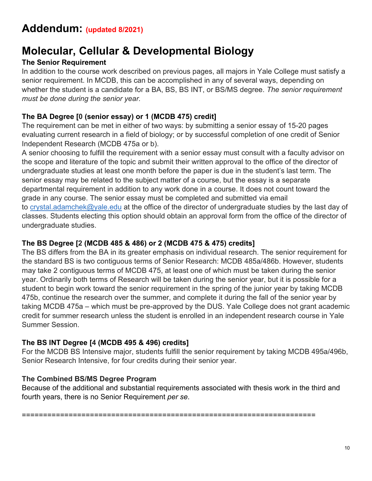## **Addendum: (updated 8/2021)**

# **Molecular, Cellular & Developmental Biology**

## **The Senior Requirement**

In addition to the course work described on previous pages, all majors in Yale College must satisfy a senior requirement. In MCDB, this can be accomplished in any of several ways, depending on whether the student is a candidate for a BA, BS, BS INT, or BS/MS degree. *The senior requirement must be done during the senior year.*

## **The BA Degree [0 (senior essay) or 1 (MCDB 475) credit]**

The requirement can be met in either of two ways: by submitting a senior essay of 15-20 pages evaluating current research in a field of biology; or by successful completion of one credit of Senior Independent Research (MCDB 475a or b).

A senior choosing to fulfill the requirement with a senior essay must consult with a faculty advisor on the scope and literature of the topic and submit their written approval to the office of the director of undergraduate studies at least one month before the paper is due in the student's last term. The senior essay may be related to the subject matter of a course, but the essay is a separate departmental requirement in addition to any work done in a course. It does not count toward the grade in any course. The senior essay must be completed and submitted via email to [crystal.adamchek@yale.edu](mailto:crystal.adamchek@yale.edu) at the office of the director of undergraduate studies by the last day of classes. Students electing this option should obtain an approval form from the office of the director of undergraduate studies.

### **The BS Degree [2 (MCDB 485 & 486) or 2 (MCDB 475 & 475) credits]**

The BS differs from the BA in its greater emphasis on individual research. The senior requirement for the standard BS is two contiguous terms of Senior Research: MCDB 485a/486b. However, students may take 2 contiguous terms of MCDB 475, at least one of which must be taken during the senior year. Ordinarily both terms of Research will be taken during the senior year, but it is possible for a student to begin work toward the senior requirement in the spring of the junior year by taking MCDB 475b, continue the research over the summer, and complete it during the fall of the senior year by taking MCDB 475a – which must be pre-approved by the DUS. Yale College does not grant academic credit for summer research unless the student is enrolled in an independent research course in Yale Summer Session.

## **The BS INT Degree [4 (MCDB 495 & 496) credits]**

For the MCDB BS Intensive major, students fulfill the senior requirement by taking MCDB 495a/496b, Senior Research Intensive, for four credits during their senior year.

### **The Combined BS/MS Degree Program**

Because of the additional and substantial requirements associated with thesis work in the third and fourth years, there is no Senior Requirement *per se*.

=====================================================================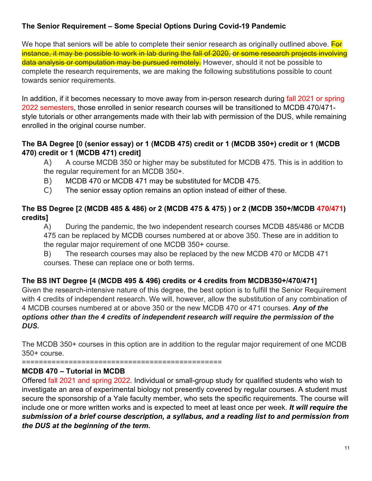## **The Senior Requirement – Some Special Options During Covid-19 Pandemic**

We hope that seniors will be able to complete their senior research as originally outlined above. **For** instance, it may be possible to work in lab during the fall of 2020, or some research projects involving data analysis or computation may be pursued remotely. However, should it not be possible to complete the research requirements, we are making the following substitutions possible to count towards senior requirements.

In addition, if it becomes necessary to move away from in-person research during fall 2021 or spring 2022 semesters, those enrolled in senior research courses will be transitioned to MCDB 470/471 style tutorials or other arrangements made with their lab with permission of the DUS, while remaining enrolled in the original course number.

### **The BA Degree [0 (senior essay) or 1 (MCDB 475) credit or 1 (MCDB 350+) credit or 1 (MCDB 470) credit or 1 (MCDB 471) credit]**

A) A course MCDB 350 or higher may be substituted for MCDB 475. This is in addition to the regular requirement for an MCDB 350+.

- B) MCDB 470 or MCDB 471 may be substituted for MCDB 475.
- C) The senior essay option remains an option instead of either of these.

## **The BS Degree [2 (MCDB 485 & 486) or 2 (MCDB 475 & 475) ) or 2 (MCDB 350+/MCDB 470/471) credits]**

A) During the pandemic, the two independent research courses MCDB 485/486 or MCDB 475 can be replaced by MCDB courses numbered at or above 350. These are in addition to the regular major requirement of one MCDB 350+ course.

B) The research courses may also be replaced by the new MCDB 470 or MCDB 471 courses. These can replace one or both terms.

## **The BS INT Degree [4 (MCDB 495 & 496) credits or 4 credits from MCDB350+/470/471]**

Given the research-intensive nature of this degree, the best option is to fulfill the Senior Requirement with 4 credits of independent research. We will, however, allow the substitution of any combination of 4 MCDB courses numbered at or above 350 or the new MCDB 470 or 471 courses. *Any of the options other than the 4 credits of independent research will require the permission of the DUS.* 

The MCDB 350+ courses in this option are in addition to the regular major requirement of one MCDB 350+ course.

===============================================

### **MCDB 470 – Tutorial in MCDB**

Offered fall 2021 and spring 2022. Individual or small-group study for qualified students who wish to investigate an area of experimental biology not presently covered by regular courses. A student must secure the sponsorship of a Yale faculty member, who sets the specific requirements. The course will include one or more written works and is expected to meet at least once per week. *It will require the submission of a brief course description, a syllabus, and a reading list to and permission from the DUS at the beginning of the term.*